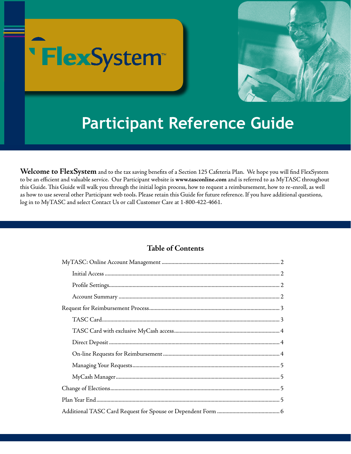



# **Participant Reference Guide**

**Welcome to FlexSystem** and to the tax saving benefits of a Section 125 Cafeteria Plan. We hope you will find FlexSystem to be an efficient and valuable service. Our Participant website is **www.tasconline.com** and is referred to as MyTASC throughout this Guide. This Guide will walk you through the initial login process, how to request a reimbursement, how to re-enroll, as well as how to use several other Participant web tools. Please retain this Guide for future reference. If you have additional questions, log in to MyTASC and select Contact Us or call Customer Care at 1-800-422-4661.

# **Table of Contents**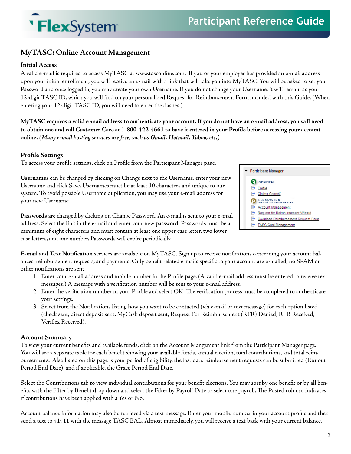

# **MyTASC: Online Account Management**

#### **Initial Access**

A valid e-mail is required to access MyTASC at www.tasconline.com. If you or your employer has provided an e-mail address upon your initial enrollment, you will receive an e-mail with a link that will take you into MyTASC. You will be asked to set your Password and once logged in, you may create your own Username. If you do not change your Username, it will remain as your 12-digit TASC ID, which you will find on your personalized Request for Reimbursement Form included with this Guide. (When entering your 12-digit TASC ID, you will need to enter the dashes.)

**MyTASC requires a valid e-mail address to authenticate your account. If you do not have an e-mail address, you will need to obtain one and call Customer Care at 1-800-422-4661 to have it entered in your Profile before accessing your account online.** *(Many e-mail hosting services are free, such as Gmail, Hotmail, Yahoo, etc.)*

#### **Profile Settings**

To access your profile settings, click on Profile from the Participant Manager page.

**Usernames** can be changed by clicking on Change next to the Username, enter your new Username and click Save. Usernames must be at least 10 characters and unique to our system. To avoid possible Username duplication, you may use your e-mail address for your new Username.

Participant Manager **C** GENERAL  $\rightarrow$  Profile Claims ConneX **ELEXSYSTEM**<br>SECTION 125 CAPETERIA PLAN Account Management Request for Reimbursement Wizard Download Reimbursement Request Form TASC Card Management

**Passwords** are changed by clicking on Change Password. An e-mail is sent to your e-mail address. Select the link in the e-mail and enter your new password. Passwords must be a minimum of eight characters and must contain at least one upper case letter, two lower case letters, and one number. Passwords will expire periodically.

**E-mail and Text Notification** services are available on MyTASC. Sign up to receive notifications concerning your account balances, reimbursement requests, and payments. Only benefit related e-mails specific to your account are e-mailed; no SPAM or other notifications are sent.

- 1. Enter your e-mail address and mobile number in the Profile page. (A valid e-mail address must be entered to receive text messages.) A message with a verification number will be sent to your e-mail address.
- 2. Enter the verification number in your Profile and select OK. The verification process must be completed to authenticate your settings.
- 3. Select from the Notifications listing how you want to be contacted (via e-mail or text message) for each option listed (check sent, direct deposit sent, MyCash deposit sent, Request For Reimbursement (RFR) Denied, RFR Received, Veriflex Received).

#### **Account Summary**

To view your current benefits and available funds, click on the Account Mangement link from the Participant Manager page. You will see a separate table for each benefit showing your available funds, annual election, total contributions, and total reimbursements. Also listed on this page is your period of eligibility, the last date reimbursement requests can be submitted (Runout Period End Date), and if applicable, the Grace Period End Date.

Select the Contributions tab to view individual contributions for your benefit elections. You may sort by one benefit or by all benefits with the Filter by Benefit drop down and select the Filter by Payroll Date to select one payroll. The Posted column indicates if contributions have been applied with a Yes or No.

Account balance information may also be retrieved via a text message. Enter your mobile number in your account profile and then send a text to 41411 with the message TASC BAL. Almost immediately, you will receive a text back with your current balance.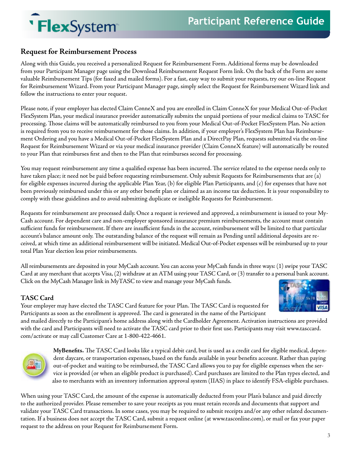# **Request for Reimbursement Process**

Along with this Guide, you received a personalized Request for Reimbursement Form. Additional forms may be downloaded from your Participant Manager page using the Download Reimbursement Request Form link. On the back of the Form are some valuable Reimbursement Tips (for faxed and mailed forms). For a fast, easy way to submit your requests, try our on-line Request for Reimbursement Wizard. From your Participant Manager page, simply select the Request for Reimbursement Wizard link and follow the instructions to enter your request.

Please note, if your employer has elected Claim ConneX and you are enrolled in Claim ConneX for your Medical Out-of-Pocket FlexSystem Plan, your medical insurance provider automatically submits the unpaid portions of your medical claims to TASC for processing. Those claims will be automatically reimbursed to you from your Medical Out-of-Pocket FlexSystem Plan. No action is required from you to receive reimbursement for those claims. In addition, if your employer's FlexSystem Plan has Reimbursement Ordering and you have a Medical Out-of-Pocket FlexSystem Plan and a DirectPay Plan, requests submitted via the on-line Request for Reimbursement Wizard or via your medical insurance provider (Claim ConneX feature) will automatically be routed to your Plan that reimburses first and then to the Plan that reimburses second for processing.

You may request reimbursement any time a qualified expense has been incurred. The service related to the expense needs only to have taken place; it need not be paid before requesting reimbursement. Only submit Requests for Reimbursements that are (a) for eligible expenses incurred during the applicable Plan Year, (b) for eligible Plan Participants, and (c) for expenses that have not been previously reimbursed under this or any other benefit plan or claimed as an income tax deduction. It is your responsibility to comply with these guidelines and to avoid submitting duplicate or ineligible Requests for Reimbursement.

Requests for reimbursement are processed daily. Once a request is reviewed and approved, a reimbursement is issued to your My-Cash account. For dependent care and non-employer sponsored insurance premium reimbursements, the account must contain sufficient funds for reimbursement. If there are insufficient funds in the account, reimbursement will be limited to that particular account's balance amount only. The outstanding balance of the request will remain as Pending until additional deposits are received, at which time an additional reimbursement will be initiated. Medical Out-of-Pocket expenses will be reimbursed up to your total Plan Year election less prior reimbursements.

All reimbursements are deposited in your MyCash account. You can access your MyCash funds in three ways: (1) swipe your TASC Card at any merchant that accepts Visa, (2) withdraw at an ATM using your TASC Card, or (3) transfer to a personal bank account. Click on the MyCash Manager link in MyTASC to view and manage your MyCash funds.

## **TASC Card**

Your employer may have elected the TASC Card feature for your Plan. The TASC Card is requested for Participants as soon as the enrollment is approved. The card is generated in the name of the Participant

and mailed directly to the Participant's home address along with the Cardholder Agreement. Activation instructions are provided with the card and Participants will need to activate the TASC card prior to their first use. Participants may visit www.tasccard. com/activate or may call Customer Care at 1-800-422-4661.



**MyBenefits.** The TASC Card looks like a typical debit card, but is used as a credit card for eligible medical, dependent daycare, or transportation expenses, based on the funds available in your benefits account. Rather than paying out-of-pocket and waiting to be reimbursed, the TASC Card allows you to pay for eligible expenses when the service is provided (or when an eligible product is purchased). Card purchases are limited to the Plan types elected, and also to merchants with an inventory information approval system (IIAS) in place to identify FSA-eligible purchases.

When using your TASC Card, the amount of the expense is automatically deducted from your Plan's balance and paid directly to the authorized provider. Please remember to save your receipts as you must retain records and documents that support and validate your TASC Card transactions. In some cases, you may be required to submit receipts and/or any other related documentation. If a business does not accept the TASC Card, submit a request online (at www.tasconline.com), or mail or fax your paper request to the address on your Request for Reimbursement Form.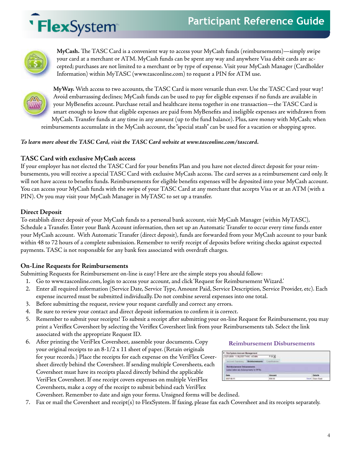# **Participant Reference Guide**

# 'FlexSystem



**MyCash.** The TASC Card is a convenient way to access your MyCash funds (reimbursements)—simply swipe your card at a merchant or ATM. MyCash funds can be spent any way and anywhere Visa debit cards are accepted; purchases are not limited to a merchant or by type of expense. Visit your MyCash Manager (Cardholder Information) within MyTASC (www.tasconline.com) to request a PIN for ATM use.



**MyWay.** With access to two accounts, the TASC Card is more versatile than ever. Use the TASC Card your way! Avoid embarrassing declines; MyCash funds can be used to pay for eligible expenses if no funds are available in your MyBenefits account. Purchase retail and healthcare items together in one transaction—the TASC Card is smart enough to know that eligible expenses are paid from MyBenefits and ineligible expenses are withdrawn from MyCash. Transfer funds at any time in any amount (up to the fund balance). Plus, save money with MyCash; when reimbursements accumulate in the MyCash account, the "special stash" can be used for a vacation or shopping spree.

#### *To learn more about the TASC Card, visit the TASC Card website at www.tasconline.com/tasccard.*

# **TASC Card with exclusive MyCash access**

If your employer has not elected the TASC Card for your benefits Plan and you have not elected direct deposit for your reimbursements, you will receive a special TASC Card with exclusive MyCash access. The card serves as a reimbursement card only. It will not have access to benefits funds. Reimbursements for eligible benefits expenses will be deposited into your MyCash account. You can access your MyCash funds with the swipe of your TASC Card at any merchant that accepts Visa or at an ATM (with a PIN). Or you may visit your MyCash Manager in MyTASC to set up a transfer.

## **Direct Deposit**

To establish direct deposit of your MyCash funds to a personal bank account, visit MyCash Manager (within MyTASC), Schedule a Transfer. Enter your Bank Account information, then set up an Automatic Transfer to occur every time funds enter your MyCash account. With Automatic Transfer (direct deposit), funds are forwarded from your MyCash account to your bank within 48 to 72 hours of a complete submission. Remember to verify receipt of deposits before writing checks against expected payments. TASC is not responsible for any bank fees associated with overdraft charges.

## **On-Line Requests for Reimbursements**

Submitting Requests for Reimbursement on-line is easy! Here are the simple steps you should follow:

- 1. Go to www.tasconline.com, login to access your account, and click 'Request for Reimbursement Wizard.'
- 2. Enter all required information (Service Date, Service Type, Amount Paid, Service Description, Service Provider, etc). Each expense incurred must be submitted individually. Do not combine several expenses into one total.
- 3. Before submitting the request, review your request carefully and correct any errors.
- 4. Be sure to review your contact and direct deposit information to confirm it is correct.
- 5. Remember to submit your receipts! To submit a receipt after submitting your on-line Request for Reimbursement, you may print a Veriflex Coversheet by selecting the Veriflex Coversheet link from your Reimbursements tab. Select the link associated with the appropriate Request ID.
- 6. After printing the VeriFlex Coversheet, assemble your documents. Copy your original receipts to an 8-1/2 x 11 sheet of paper. (Retain originals for your records.) Place the receipts for each expense on the VeriFlex Cover sheet directly behind the Coversheet. If sending multiple Coversheets, each Coversheet must have its receipts placed directly behind the applicable VeriFlex Coversheet. If one receipt covers expenses on multiple VeriFlex Coversheets, make a copy of the receipt to submit behind each VeriFlex

#### **Reimbursement Disbursements**

| UP LOOK - 11 BLOOD TAKE ACARE    | 2019          |                |
|----------------------------------|---------------|----------------|
|                                  |               |                |
|                                  |               |                |
|                                  |               |                |
| or wa ducated racks for \$17.5%. |               |                |
| <b>Data</b>                      | <b>Amount</b> | <b>Detecte</b> |

- Coversheet. Remember to date and sign your forms. Unsigned forms will be declined.
- 7. Fax or mail the Coversheet and receipt(s) to FlexSystem. If faxing, please fax each Coversheet and its receipts separately.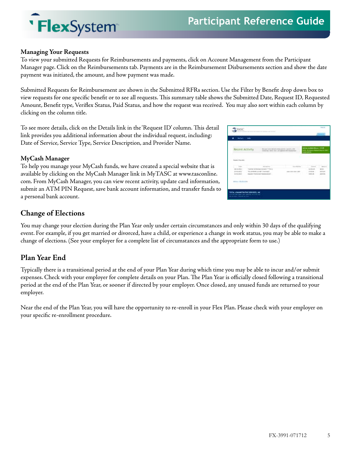

#### **Managing Your Requests**

'FlexSystem

To view your submitted Requests for Reimbursements and payments, click on Account Management from the Participant Manager page. Click on the Reimbursements tab. Payments are in the Reimbursement Disbursements section and show the date payment was initiated, the amount, and how payment was made.

Submitted Requests for Reimbursement are shown in the Submitted RFRs section. Use the Filter by Benefit drop down box to view requests for one specific benefit or to see all requests. This summary table shows the Submitted Date, Request ID, Requested Amount, Benefit type, Veriflex Status, Paid Status, and how the request was received. You may also sort within each column by clicking on the column title.

To see more details, click on the Details link in the 'Request ID' column. This detail link provides you additional information about the individual request, including: Date of Service, Service Type, Service Description, and Provider Name.

#### **MyCash Manager**

To help you manage your MyCash funds, we have created a special website that is available by clicking on the MyCash Manager link in MyTASC at www.tasconline. com. From MyCash Manager, you can view recent activity, update card information, submit an ATM PIN Request, save bank account information, and transfer funds to a personal bank account.

| <b>TIASC</b>                                                                                                    |                                                                                                           |                                                                                                                | <b>Holland</b><br>٠                                                                                                     |  |  |
|-----------------------------------------------------------------------------------------------------------------|-----------------------------------------------------------------------------------------------------------|----------------------------------------------------------------------------------------------------------------|-------------------------------------------------------------------------------------------------------------------------|--|--|
| Walkels  make                                                                                                   |                                                                                                           |                                                                                                                |                                                                                                                         |  |  |
| <b>Recent Activity</b>                                                                                          |                                                                                                           | denuits in home in the contension by a state of the<br>scholarsky work field and process with the columns<br>٠ | and company's price and find the pro-<br>Call Entails Bibox (21.8)<br>ti Standard General Standard<br>Maria 1991        |  |  |
| <b>Good former</b>                                                                                              |                                                                                                           | ۳                                                                                                              |                                                                                                                         |  |  |
| 13.4<br>$-410$<br>$10 - 40 = 140$<br>An Ann Alcha                                                               | prevail to Percent doctors ? The<br>This principal class such and the<br>loand: Flatinities labelessings; | نتقلت اعت<br>to a checker<br>ter.                                                                              | ---<br>--<br>$3 - 104, 38$<br>$\mathbb{R}^2$<br>$1 - 24 - 24$<br><b>BRIGHT</b><br>in take sale.<br><b>BACK ALL</b><br>- |  |  |
| distant distances in<br>the property of the control of                                                          |                                                                                                           |                                                                                                                |                                                                                                                         |  |  |
| TOTAL ADMINISTRATIVE MEVACEL, INC.<br>and development and business televisioning<br>Microbiano (Missoul co.) In |                                                                                                           |                                                                                                                |                                                                                                                         |  |  |

#### **Change of Elections**

You may change your election during the Plan Year only under certain circumstances and only within 30 days of the qualifying event. For example, if you get married or divorced, have a child, or experience a change in work status, you may be able to make a change of elections. (See your employer for a complete list of circumstances and the appropriate form to use.)

#### **Plan Year End**

Typically there is a transitional period at the end of your Plan Year during which time you may be able to incur and/or submit expenses. Check with your employer for complete details on your Plan. The Plan Year is officially closed following a transitional period at the end of the Plan Year, or sooner if directed by your employer. Once closed, any unused funds are returned to your employer.

Near the end of the Plan Year, you will have the opportunity to re-enroll in your Flex Plan. Please check with your employer on your specific re-enrollment procedure.